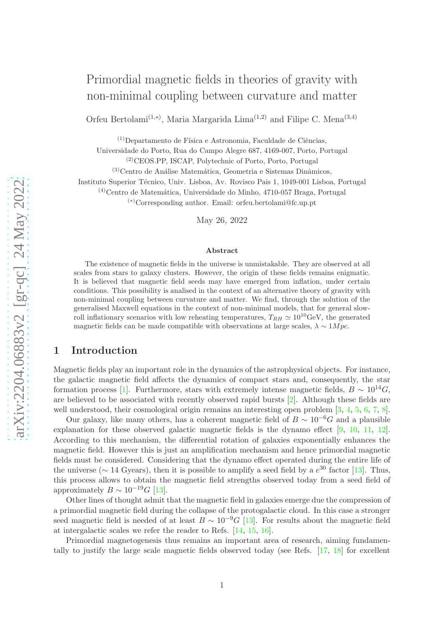Orfeu Bertolami<sup>(1,\*)</sup>, Maria Margarida Lima<sup>(1,2)</sup> and Filipe C. Mena<sup>(3,4)</sup>

 $(1)$ Departamento de Física e Astronomia, Faculdade de Ciências,

Universidade do Porto, Rua do Campo Alegre 687, 4169-007, Porto, Portugal

(2)CEOS.PP, ISCAP, Polytechnic of Porto, Porto, Portugal

 $(3)$ Centro de Análise Matemática, Geometria e Sistemas Dinâmicos,

Instituto Superior Técnico, Univ. Lisboa, Av. Rovisco Pais 1, 1049-001 Lisboa, Portugal

 $(4)$ Centro de Matemática, Universidade do Minho, 4710-057 Braga, Portugal

(∗)Corresponding author. Email: orfeu.bertolami@fc.up.pt

May 26, 2022

#### Abstract

The existence of magnetic fields in the universe is unmistakable. They are observed at all scales from stars to galaxy clusters. However, the origin of these fields remains enigmatic. It is believed that magnetic field seeds may have emerged from inflation, under certain conditions. This possibility is analised in the context of an alternative theory of gravity with non-minimal coupling between curvature and matter. We find, through the solution of the generalised Maxwell equations in the context of non-minimal models, that for general slowroll inflationary scenarios with low reheating temperatures,  $T_{RH} \simeq 10^{10} \text{GeV}$ , the generated magnetic fields can be made compatible with observations at large scales,  $\lambda \sim 1 Mpc$ .

# 1 Introduction

Magnetic fields play an important role in the dynamics of the astrophysical objects. For instance, the galactic magnetic field affects the dynamics of compact stars and, consequently, the star formation process [\[1\]](#page-9-0). Furthermore, stars with extremely intense magnetic fields,  $B \sim 10^{14}$ G, are believed to be associated with recently observed rapid bursts [\[2\]](#page-9-1). Although these fields are well understood, their cosmological origin remains an interesting open problem [\[3,](#page-9-2) [4,](#page-9-3) [5,](#page-9-4) [6,](#page-9-5) [7,](#page-10-0) [8\]](#page-10-1).

Our galaxy, like many others, has a coherent magnetic field of  $B \sim 10^{-6}G$  and a plausible explanation for these observed galactic magnetic fields is the dynamo effect [\[9,](#page-10-2) [10,](#page-10-3) [11,](#page-10-4) [12\]](#page-10-5). According to this mechanism, the differential rotation of galaxies exponentially enhances the magnetic field. However this is just an amplification mechanism and hence primordial magnetic fields must be considered. Considering that the dynamo effect operated during the entire life of the universe ( $\sim$  14 Gyears), then it is possible to amplify a seed field by a  $e^{30}$  factor [\[13\]](#page-10-6). Thus, this process allows to obtain the magnetic field strengths observed today from a seed field of approximately  $B \sim 10^{-19} G$  [\[13\]](#page-10-6).

Other lines of thought admit that the magnetic field in galaxies emerge due the compression of a primordial magnetic field during the collapse of the protogalactic cloud. In this case a stronger seed magnetic field is needed of at least  $B \sim 10^{-9} G$  [\[13\]](#page-10-6). For results about the magnetic field at intergalactic scales we refer the reader to Refs. [\[14,](#page-10-7) [15,](#page-10-8) [16\]](#page-10-9).

Primordial magnetogenesis thus remains an important area of research, aiming fundamentally to justify the large scale magnetic fields observed today (see Refs. [\[17,](#page-10-10) [18\]](#page-10-11) for excellent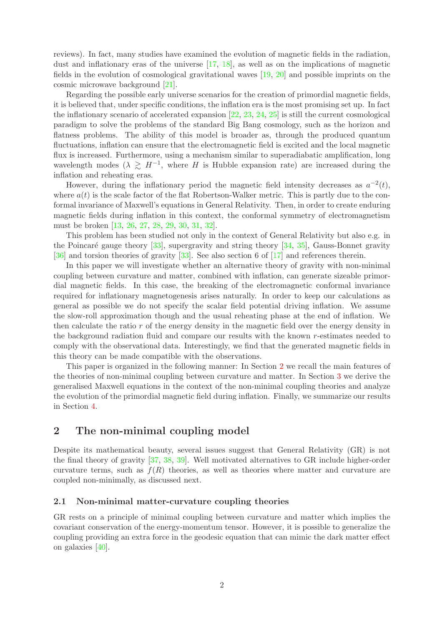reviews). In fact, many studies have examined the evolution of magnetic fields in the radiation, dust and inflationary eras of the universe [\[17,](#page-10-10) [18\]](#page-10-11), as well as on the implications of magnetic fields in the evolution of cosmological gravitational waves [\[19,](#page-10-12) [20\]](#page-10-13) and possible imprints on the cosmic microwave background [\[21\]](#page-10-14).

Regarding the possible early universe scenarios for the creation of primordial magnetic fields, it is believed that, under specific conditions, the inflation era is the most promising set up. In fact the inflationary scenario of accelerated expansion  $[22, 23, 24, 25]$  $[22, 23, 24, 25]$  $[22, 23, 24, 25]$  $[22, 23, 24, 25]$  $[22, 23, 24, 25]$  $[22, 23, 24, 25]$  is still the current cosmological paradigm to solve the problems of the standard Big Bang cosmology, such as the horizon and flatness problems. The ability of this model is broader as, through the produced quantum fluctuations, inflation can ensure that the electromagnetic field is excited and the local magnetic flux is increased. Furthermore, using a mechanism similar to superadiabatic amplification, long wavelength modes  $(\lambda \geq H^{-1})$ , where H is Hubble expansion rate) are increased during the inflation and reheating eras.

However, during the inflationary period the magnetic field intensity decreases as  $a^{-2}(t)$ , where  $a(t)$  is the scale factor of the flat Robertson-Walker metric. This is partly due to the conformal invariance of Maxwell's equations in General Relativity. Then, in order to create enduring magnetic fields during inflation in this context, the conformal symmetry of electromagnetism must be broken [\[13,](#page-10-6) [26,](#page-11-1) [27,](#page-11-2) [28,](#page-11-3) [29,](#page-11-4) [30,](#page-11-5) [31,](#page-11-6) [32\]](#page-11-7).

This problem has been studied not only in the context of General Relativity but also e.g. in the Poincaré gauge theory  $[33]$ , supergravity and string theory  $[34, 35]$  $[34, 35]$ , Gauss-Bonnet gravity [\[36\]](#page-11-11) and torsion theories of gravity [\[33\]](#page-11-8). See also section 6 of [\[17\]](#page-10-10) and references therein.

In this paper we will investigate whether an alternative theory of gravity with non-minimal coupling between curvature and matter, combined with inflation, can generate sizeable primordial magnetic fields. In this case, the breaking of the electromagnetic conformal invariance required for inflationary magnetogenesis arises naturally. In order to keep our calculations as general as possible we do not specify the scalar field potential driving inflation. We assume the slow-roll approximation though and the usual reheating phase at the end of inflation. We then calculate the ratio  $r$  of the energy density in the magnetic field over the energy density in the background radiation fluid and compare our results with the known r-estimates needed to comply with the observational data. Interestingly, we find that the generated magnetic fields in this theory can be made compatible with the observations.

This paper is organized in the following manner: In Section [2](#page-1-0) we recall the main features of the theories of non-minimal coupling between curvature and matter. In Section [3](#page-5-0) we derive the generalised Maxwell equations in the context of the non-minimal coupling theories and analyze the evolution of the primordial magnetic field during inflation. Finally, we summarize our results in Section [4.](#page-9-6)

# <span id="page-1-0"></span>2 The non-minimal coupling model

Despite its mathematical beauty, several issues suggest that General Relativity (GR) is not the final theory of gravity [\[37,](#page-11-12) [38,](#page-11-13) [39\]](#page-11-14). Well motivated alternatives to GR include higher-order curvature terms, such as  $f(R)$  theories, as well as theories where matter and curvature are coupled non-minimally, as discussed next.

### 2.1 Non-minimal matter-curvature coupling theories

GR rests on a principle of minimal coupling between curvature and matter which implies the covariant conservation of the energy-momentum tensor. However, it is possible to generalize the coupling providing an extra force in the geodesic equation that can mimic the dark matter effect on galaxies [\[40\]](#page-11-15).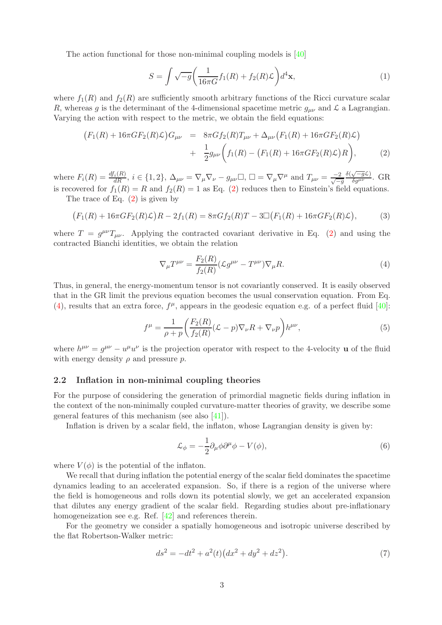The action functional for those non-minimal coupling models is [\[40\]](#page-11-15)

<span id="page-2-4"></span>
$$
S = \int \sqrt{-g} \left( \frac{1}{16\pi G} f_1(R) + f_2(R)\mathcal{L} \right) d^4 \mathbf{x},\tag{1}
$$

where  $f_1(R)$  and  $f_2(R)$  are sufficiently smooth arbitrary functions of the Ricci curvature scalar R, whereas g is the determinant of the 4-dimensional spacetime metric  $g_{\mu\nu}$  and  $\mathcal L$  a Lagrangian. Varying the action with respect to the metric, we obtain the field equations:

<span id="page-2-0"></span>
$$
(F_1(R) + 16\pi GF_2(R)\mathcal{L})G_{\mu\nu} = 8\pi Gf_2(R)T_{\mu\nu} + \Delta_{\mu\nu}(F_1(R) + 16\pi GF_2(R)\mathcal{L}) + \frac{1}{2}g_{\mu\nu}(f_1(R) - (F_1(R) + 16\pi GF_2(R)\mathcal{L})R), \tag{2}
$$

where  $F_i(R) = \frac{df_i(R)}{dR}$ ,  $i \in \{1, 2\}$ ,  $\Delta_{\mu\nu} = \nabla_{\mu} \nabla_{\nu} - g_{\mu\nu} \square$ ,  $\square = \nabla_{\mu} \nabla^{\mu}$  and  $T_{\mu\nu} = \frac{-2}{\sqrt{-g}}$  $\frac{\delta(\sqrt{-g}\mathcal{L})}{\delta g^{\mu\nu}}$ . GR is recovered for  $f_1(R) = R$  and  $f_2(R) = 1$  as Eq. [\(2\)](#page-2-0) reduces then to Einstein's field equations.

The trace of Eq. [\(2\)](#page-2-0) is given by

$$
(F_1(R) + 16\pi GF_2(R)\mathcal{L})R - 2f_1(R) = 8\pi Gf_2(R)T - 3\Box(F_1(R) + 16\pi GF_2(R)\mathcal{L}),\tag{3}
$$

where  $T = g^{\mu\nu}T_{\mu\nu}$ . Applying the contracted covariant derivative in Eq. [\(2\)](#page-2-0) and using the contracted Bianchi identities, we obtain the relation

<span id="page-2-1"></span>
$$
\nabla_{\mu}T^{\mu\nu} = \frac{F_2(R)}{f_2(R)} (\mathcal{L}g^{\mu\nu} - T^{\mu\nu}) \nabla_{\mu}R. \tag{4}
$$

Thus, in general, the energy-momentum tensor is not covariantly conserved. It is easily observed that in the GR limit the previous equation becomes the usual conservation equation. From Eq. [\(4\)](#page-2-1), results that an extra force,  $f^{\mu}$ , appears in the geodesic equation e.g. of a perfect fluid [\[40\]](#page-11-15):

$$
f^{\mu} = \frac{1}{\rho + p} \left( \frac{F_2(R)}{f_2(R)} (\mathcal{L} - p) \nabla_{\nu} R + \nabla_{\nu} p \right) h^{\mu \nu}, \tag{5}
$$

where  $h^{\mu\nu} = g^{\mu\nu} - u^{\mu}u^{\nu}$  is the projection operator with respect to the 4-velocity **u** of the fluid with energy density  $\rho$  and pressure  $p$ .

### 2.2 Inflation in non-minimal coupling theories

For the purpose of considering the generation of primordial magnetic fields during inflation in the context of the non-minimally coupled curvature-matter theories of gravity, we describe some general features of this mechanism (see also  $|41|$ ).

Inflation is driven by a scalar field, the inflaton, whose Lagrangian density is given by:

<span id="page-2-2"></span>
$$
\mathcal{L}_{\phi} = -\frac{1}{2} \partial_{\mu} \phi \partial^{\mu} \phi - V(\phi), \tag{6}
$$

where  $V(\phi)$  is the potential of the inflaton.

We recall that during inflation the potential energy of the scalar field dominates the spacetime dynamics leading to an accelerated expansion. So, if there is a region of the universe where the field is homogeneous and rolls down its potential slowly, we get an accelerated expansion that dilutes any energy gradient of the scalar field. Regarding studies about pre-inflationary homogeneization see e.g. Ref. [\[42\]](#page-11-17) and references therein.

For the geometry we consider a spatially homogeneous and isotropic universe described by the flat Robertson-Walker metric:

<span id="page-2-3"></span>
$$
ds^{2} = -dt^{2} + a^{2}(t)\left(dx^{2} + dy^{2} + dz^{2}\right).
$$
 (7)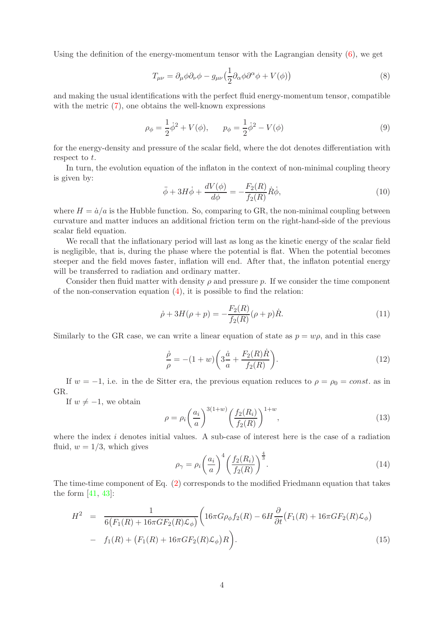Using the definition of the energy-momentum tensor with the Lagrangian density  $(6)$ , we get

$$
T_{\mu\nu} = \partial_{\mu}\phi\partial_{\nu}\phi - g_{\mu\nu}\left(\frac{1}{2}\partial_{\alpha}\phi\partial^{\alpha}\phi + V(\phi)\right)
$$
\n(8)

and making the usual identifications with the perfect fluid energy-momentum tensor, compatible with the metric  $(7)$ , one obtains the well-known expressions

<span id="page-3-0"></span>
$$
\rho_{\phi} = \frac{1}{2}\dot{\phi}^2 + V(\phi), \qquad p_{\phi} = \frac{1}{2}\dot{\phi}^2 - V(\phi)
$$
\n(9)

for the energy-density and pressure of the scalar field, where the dot denotes differentiation with respect to  $t$ .

In turn, the evolution equation of the inflaton in the context of non-minimal coupling theory is given by:

$$
\ddot{\phi} + 3H\dot{\phi} + \frac{dV(\phi)}{d\phi} = -\frac{F_2(R)}{f_2(R)}\dot{R}\dot{\phi},\tag{10}
$$

where  $H = \dot{a}/a$  is the Hubble function. So, comparing to GR, the non-minimal coupling between curvature and matter induces an additional friction term on the right-hand-side of the previous scalar field equation.

We recall that the inflationary period will last as long as the kinetic energy of the scalar field is negligible, that is, during the phase where the potential is flat. When the potential becomes steeper and the field moves faster, inflation will end. After that, the inflaton potential energy will be transferred to radiation and ordinary matter.

Consider then fluid matter with density  $\rho$  and pressure p. If we consider the time component of the non-conservation equation [\(4\)](#page-2-1), it is possible to find the relation:

$$
\dot{\rho} + 3H(\rho + p) = -\frac{F_2(R)}{f_2(R)}(\rho + p)\dot{R}.
$$
\n(11)

Similarly to the GR case, we can write a linear equation of state as  $p = w\rho$ , and in this case

$$
\frac{\dot{\rho}}{\rho} = -(1+w)\bigg(3\frac{\dot{a}}{a} + \frac{F_2(R)\dot{R}}{f_2(R)}\bigg). \tag{12}
$$

If  $w = -1$ , i.e. in the de Sitter era, the previous equation reduces to  $\rho = \rho_0 = const.$  as in GR.

If  $w \neq -1$ , we obtain

$$
\rho = \rho_i \left(\frac{a_i}{a}\right)^{3(1+w)} \left(\frac{f_2(R_i)}{f_2(R)}\right)^{1+w},\tag{13}
$$

where the index  $i$  denotes initial values. A sub-case of interest here is the case of a radiation fluid,  $w = 1/3$ , which gives

$$
\rho_{\gamma} = \rho_i \left(\frac{a_i}{a}\right)^4 \left(\frac{f_2(R_i)}{f_2(R)}\right)^{\frac{4}{3}}.
$$
\n(14)

The time-time component of Eq. [\(2\)](#page-2-0) corresponds to the modified Friedmann equation that takes the form  $[41, 43]$  $[41, 43]$ :

<span id="page-3-1"></span>
$$
H^{2} = \frac{1}{6(F_{1}(R) + 16\pi GF_{2}(R)\mathcal{L}_{\phi})} \left( 16\pi G\rho_{\phi}f_{2}(R) - 6H\frac{\partial}{\partial t}(F_{1}(R) + 16\pi GF_{2}(R)\mathcal{L}_{\phi}) - f_{1}(R) + (F_{1}(R) + 16\pi GF_{2}(R)\mathcal{L}_{\phi})R \right).
$$
\n(15)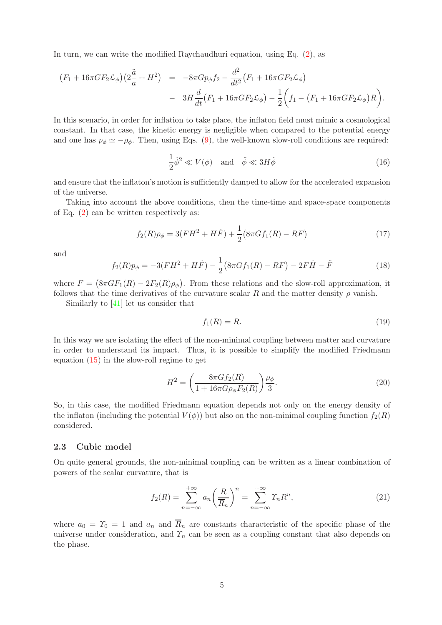In turn, we can write the modified Raychaudhuri equation, using Eq. [\(2\)](#page-2-0), as

$$
(F_1 + 16\pi G F_2 \mathcal{L}_{\phi})(2\frac{\ddot{a}}{a} + H^2) = -8\pi G p_{\phi} f_2 - \frac{d^2}{dt^2} (F_1 + 16\pi G F_2 \mathcal{L}_{\phi})
$$
  
- 
$$
3H \frac{d}{dt} (F_1 + 16\pi G F_2 \mathcal{L}_{\phi}) - \frac{1}{2} \left( f_1 - (F_1 + 16\pi G F_2 \mathcal{L}_{\phi}) R \right).
$$

In this scenario, in order for inflation to take place, the inflaton field must mimic a cosmological constant. In that case, the kinetic energy is negligible when compared to the potential energy and one has  $p_{\phi} \simeq -\rho_{\phi}$ . Then, using Eqs. [\(9\)](#page-3-0), the well-known slow-roll conditions are required:

$$
\frac{1}{2}\dot{\phi}^2 \ll V(\phi) \quad \text{and} \quad \ddot{\phi} \ll 3H\dot{\phi} \tag{16}
$$

and ensure that the inflaton's motion is sufficiently damped to allow for the accelerated expansion of the universe.

Taking into account the above conditions, then the time-time and space-space components of Eq. [\(2\)](#page-2-0) can be written respectively as:

$$
f_2(R)\rho_{\phi} = 3(FH^2 + H\dot{F}) + \frac{1}{2}(8\pi G f_1(R) - RF)
$$
\n(17)

and

$$
f_2(R)p_\phi = -3(FH^2 + H\dot{F}) - \frac{1}{2}(8\pi Gf_1(R) - RF) - 2F\dot{H} - \ddot{F}
$$
\n(18)

where  $F = (8\pi G F_1(R) - 2F_2(R)\rho_{\phi})$ . From these relations and the slow-roll approximation, it follows that the time derivatives of the curvature scalar R and the matter density  $\rho$  vanish.

Similarly to [\[41\]](#page-11-16) let us consider that

<span id="page-4-0"></span>
$$
f_1(R) = R.\t\t(19)
$$

In this way we are isolating the effect of the non-minimal coupling between matter and curvature in order to understand its impact. Thus, it is possible to simplify the modified Friedmann equation [\(15\)](#page-3-1) in the slow-roll regime to get

$$
H^{2} = \left(\frac{8\pi G f_{2}(R)}{1 + 16\pi G \rho_{\phi} F_{2}(R)}\right) \frac{\rho_{\phi}}{3}.
$$
\n(20)

So, in this case, the modified Friedmann equation depends not only on the energy density of the inflaton (including the potential  $V(\phi)$ ) but also on the non-minimal coupling function  $f_2(R)$ considered.

### 2.3 Cubic model

On quite general grounds, the non-minimal coupling can be written as a linear combination of powers of the scalar curvature, that is

$$
f_2(R) = \sum_{n = -\infty}^{+\infty} a_n \left(\frac{R}{\overline{R}_n}\right)^n = \sum_{n = -\infty}^{+\infty} \Upsilon_n R^n,
$$
\n(21)

where  $a_0 = \Upsilon_0 = 1$  and  $a_n$  and  $\overline{R}_n$  are constants characteristic of the specific phase of the universe under consideration, and  $\mathcal{T}_n$  can be seen as a coupling constant that also depends on the phase.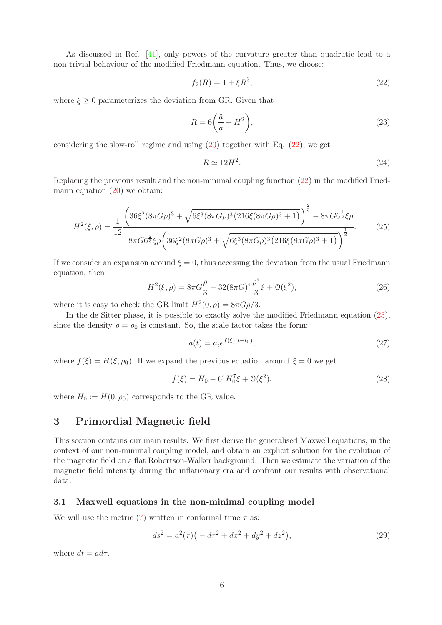As discussed in Ref. [\[41\]](#page-11-16), only powers of the curvature greater than quadratic lead to a non-trivial behaviour of the modified Friedmann equation. Thus, we choose:

<span id="page-5-1"></span>
$$
f_2(R) = 1 + \xi R^3,\tag{22}
$$

where  $\xi \geq 0$  parameterizes the deviation from GR. Given that

$$
R = 6\left(\frac{\ddot{a}}{a} + H^2\right),\tag{23}
$$

considering the slow-roll regime and using  $(20)$  together with Eq.  $(22)$ , we get

<span id="page-5-3"></span><span id="page-5-2"></span>
$$
R \simeq 12H^2. \tag{24}
$$

Replacing the previous result and the non-minimal coupling function [\(22\)](#page-5-1) in the modified Friedmann equation [\(20\)](#page-4-0) we obtain:

$$
H^{2}(\xi,\rho) = \frac{1}{12} \frac{\left(36\xi^{2}(8\pi G\rho)^{3} + \sqrt{6\xi^{3}(8\pi G\rho)^{3}(216\xi(8\pi G\rho)^{3}+1)}\right)^{\frac{2}{3}} - 8\pi G6^{\frac{1}{3}}\xi\rho}{8\pi G6^{\frac{2}{3}}\xi\rho\left(36\xi^{2}(8\pi G\rho)^{3} + \sqrt{6\xi^{3}(8\pi G\rho)^{3}(216\xi(8\pi G\rho)^{3}+1)}\right)^{\frac{1}{3}}}.
$$
(25)

If we consider an expansion around  $\xi = 0$ , thus accessing the deviation from the usual Friedmann equation, then

$$
H^{2}(\xi,\rho) = 8\pi G \frac{\rho}{3} - 32(8\pi G)^{4} \frac{\rho^{4}}{3}\xi + \mathcal{O}(\xi^{2}),
$$
\n(26)

where it is easy to check the GR limit  $H^2(0, \rho) = 8\pi G \rho/3$ .

In the de Sitter phase, it is possible to exactly solve the modified Friedmann equation [\(25\)](#page-5-2), since the density  $\rho = \rho_0$  is constant. So, the scale factor takes the form:

$$
a(t) = a_i e^{f(\xi)(t - t_0)},
$$
\n(27)

where  $f(\xi) = H(\xi, \rho_0)$ . If we expand the previous equation around  $\xi = 0$  we get

$$
f(\xi) = H_0 - 6^4 H_0^7 \xi + \mathcal{O}(\xi^2). \tag{28}
$$

where  $H_0 := H(0, \rho_0)$  corresponds to the GR value.

# <span id="page-5-0"></span>3 Primordial Magnetic field

This section contains our main results. We first derive the generalised Maxwell equations, in the context of our non-minimal coupling model, and obtain an explicit solution for the evolution of the magnetic field on a flat Robertson-Walker background. Then we estimate the variation of the magnetic field intensity during the inflationary era and confront our results with observational data.

### 3.1 Maxwell equations in the non-minimal coupling model

We will use the metric [\(7\)](#page-2-3) written in conformal time  $\tau$  as:

$$
ds^{2} = a^{2}(\tau)\left(-d\tau^{2} + dx^{2} + dy^{2} + dz^{2}\right),
$$
\n(29)

where  $dt = a d\tau$ .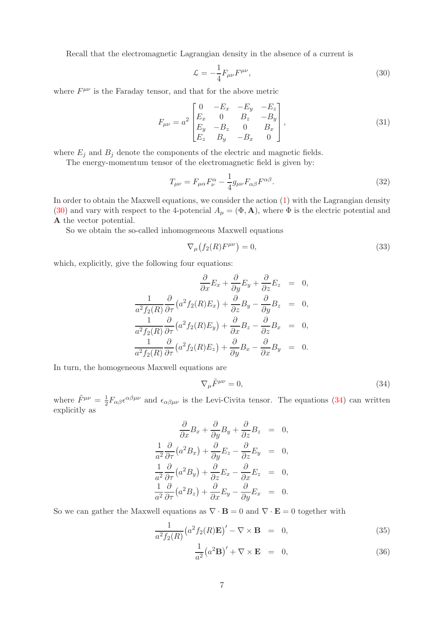Recall that the electromagnetic Lagrangian density in the absence of a current is

<span id="page-6-0"></span>
$$
\mathcal{L} = -\frac{1}{4} F_{\mu\nu} F^{\mu\nu},\qquad(30)
$$

where  $F^{\mu\nu}$  is the Faraday tensor, and that for the above metric

$$
F_{\mu\nu} = a^2 \begin{bmatrix} 0 & -E_x & -E_y & -E_z \\ E_x & 0 & B_z & -B_y \\ E_y & -B_z & 0 & B_x \\ E_z & B_y & -B_x & 0 \end{bmatrix},
$$
(31)

where  $E_j$  and  $B_j$  denote the components of the electric and magnetic fields.

The energy-momentum tensor of the electromagnetic field is given by:

$$
T_{\mu\nu} = F_{\mu\alpha} F_{\nu}^{\alpha} - \frac{1}{4} g_{\mu\nu} F_{\alpha\beta} F^{\alpha\beta}.
$$
\n(32)

In order to obtain the Maxwell equations, we consider the action [\(1\)](#page-2-4) with the Lagrangian density [\(30\)](#page-6-0) and vary with respect to the 4-potencial  $A_{\mu} = (\Phi, \mathbf{A})$ , where  $\Phi$  is the electric potential and A the vector potential.

So we obtain the so-called inhomogeneous Maxwell equations

$$
\nabla_{\mu}\left(f_2(R)F^{\mu\nu}\right) = 0,\tag{33}
$$

which, explicitly, give the following four equations:

$$
\frac{\partial}{\partial x}E_x + \frac{\partial}{\partial y}E_y + \frac{\partial}{\partial z}E_z = 0,
$$
  

$$
\frac{1}{a^2 f_2(R)}\frac{\partial}{\partial \tau}(a^2 f_2(R)E_x) + \frac{\partial}{\partial z}B_y - \frac{\partial}{\partial y}B_z = 0,
$$
  

$$
\frac{1}{a^2 f_2(R)}\frac{\partial}{\partial \tau}(a^2 f_2(R)E_y) + \frac{\partial}{\partial x}B_z - \frac{\partial}{\partial z}B_x = 0,
$$
  

$$
\frac{1}{a^2 f_2(R)}\frac{\partial}{\partial \tau}(a^2 f_2(R)E_z) + \frac{\partial}{\partial y}B_x - \frac{\partial}{\partial x}B_y = 0.
$$

In turn, the homogeneous Maxwell equations are

<span id="page-6-1"></span>
$$
\nabla_{\mu}\tilde{F}^{\mu\nu} = 0,\tag{34}
$$

where  $\tilde{F}^{\mu\nu} = \frac{1}{2} F_{\alpha\beta} \epsilon^{\alpha\beta\mu\nu}$  and  $\epsilon_{\alpha\beta\mu\nu}$  is the Levi-Civita tensor. The equations [\(34\)](#page-6-1) can written explicitly as

$$
\frac{\partial}{\partial x}B_x + \frac{\partial}{\partial y}B_y + \frac{\partial}{\partial z}B_z = 0,
$$
  

$$
\frac{1}{a^2}\frac{\partial}{\partial \tau}(a^2B_x) + \frac{\partial}{\partial y}E_z - \frac{\partial}{\partial z}E_y = 0,
$$
  

$$
\frac{1}{a^2}\frac{\partial}{\partial \tau}(a^2B_y) + \frac{\partial}{\partial z}E_x - \frac{\partial}{\partial x}E_z = 0,
$$
  

$$
\frac{1}{a^2}\frac{\partial}{\partial \tau}(a^2B_z) + \frac{\partial}{\partial x}E_y - \frac{\partial}{\partial y}E_x = 0.
$$

So we can gather the Maxwell equations as  $\nabla \cdot \mathbf{B} = 0$  and  $\nabla \cdot \mathbf{E} = 0$  together with

<span id="page-6-2"></span>
$$
\frac{1}{a^2 f_2(R)} \left(a^2 f_2(R) \mathbf{E}\right)' - \nabla \times \mathbf{B} = 0, \tag{35}
$$

$$
\frac{1}{a^2} (a^2 \mathbf{B})' + \nabla \times \mathbf{E} = 0,
$$
\n(36)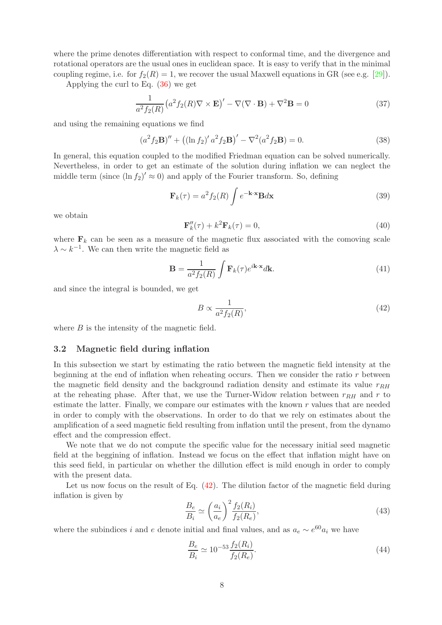where the prime denotes differentiation with respect to conformal time, and the divergence and rotational operators are the usual ones in euclidean space. It is easy to verify that in the minimal coupling regime, i.e. for  $f_2(R) = 1$ , we recover the usual Maxwell equations in GR (see e.g. [\[29\]](#page-11-4)).

Applying the curl to Eq. [\(36\)](#page-6-2) we get

$$
\frac{1}{a^2 f_2(R)} \left( a^2 f_2(R) \nabla \times \mathbf{E} \right)' - \nabla (\nabla \cdot \mathbf{B}) + \nabla^2 \mathbf{B} = 0 \tag{37}
$$

and using the remaining equations we find

$$
(a^{2} f_{2} \mathbf{B})'' + ((\ln f_{2})' a^{2} f_{2} \mathbf{B})' - \nabla^{2} (a^{2} f_{2} \mathbf{B}) = 0.
$$
 (38)

In general, this equation coupled to the modified Friedman equation can be solved numerically. Nevertheless, in order to get an estimate of the solution during inflation we can neglect the middle term (since  $(\ln f_2)' \approx 0$ ) and apply of the Fourier transform. So, defining

$$
\mathbf{F}_k(\tau) = a^2 f_2(R) \int e^{-\mathbf{k} \cdot \mathbf{x}} \mathbf{B} d\mathbf{x}
$$
 (39)

we obtain

$$
\mathbf{F}_k''(\tau) + k^2 \mathbf{F}_k(\tau) = 0,\tag{40}
$$

where  $\mathbf{F}_k$  can be seen as a measure of the magnetic flux associated with the comoving scale  $\lambda \sim k^{-1}$ . We can then write the magnetic field as

$$
\mathbf{B} = \frac{1}{a^2 f_2(R)} \int \mathbf{F}_k(\tau) e^{i\mathbf{k} \cdot \mathbf{x}} d\mathbf{k}.
$$
 (41)

and since the integral is bounded, we get

<span id="page-7-0"></span>
$$
B \propto \frac{1}{a^2 f_2(R)},\tag{42}
$$

where  $B$  is the intensity of the magnetic field.

#### 3.2 Magnetic field during inflation

In this subsection we start by estimating the ratio between the magnetic field intensity at the beginning at the end of inflation when reheating occurs. Then we consider the ratio  $r$  between the magnetic field density and the background radiation density and estimate its value  $r_{RH}$ at the reheating phase. After that, we use the Turner-Widow relation between  $r_{RH}$  and r to estimate the latter. Finally, we compare our estimates with the known r values that are needed in order to comply with the observations. In order to do that we rely on estimates about the amplification of a seed magnetic field resulting from inflation until the present, from the dynamo effect and the compression effect.

We note that we do not compute the specific value for the necessary initial seed magnetic field at the beggining of inflation. Instead we focus on the effect that inflation might have on this seed field, in particular on whether the dillution effect is mild enough in order to comply with the present data.

Let us now focus on the result of Eq.  $(42)$ . The dilution factor of the magnetic field during inflation is given by

$$
\frac{B_e}{B_i} \simeq \left(\frac{a_i}{a_e}\right)^2 \frac{f_2(R_i)}{f_2(R_e)},\tag{43}
$$

where the subindices i and e denote initial and final values, and as  $a_e \sim e^{60} a_i$  we have

$$
\frac{B_e}{B_i} \simeq 10^{-53} \frac{f_2(R_i)}{f_2(R_e)}.\tag{44}
$$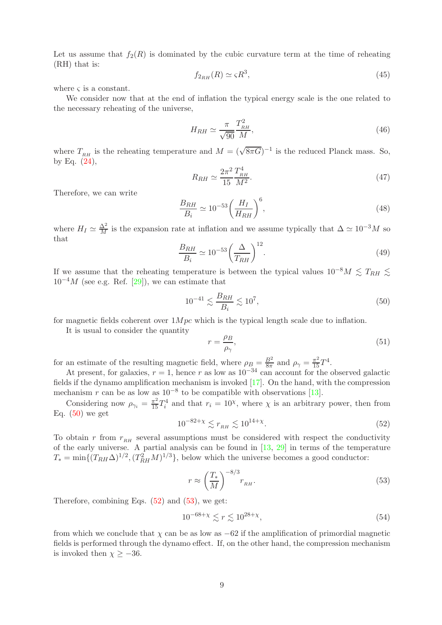Let us assume that  $f_2(R)$  is dominated by the cubic curvature term at the time of reheating (RH) that is:

$$
f_{2_{RH}}(R) \simeq \varsigma R^3,\tag{45}
$$

where  $\varsigma$  is a constant.

We consider now that at the end of inflation the typical energy scale is the one related to the necessary reheating of the universe,

$$
H_{RH} \simeq \frac{\pi}{\sqrt{90}} \frac{T_{RH}^2}{M},\tag{46}
$$

where  $T_{RH}$  is the reheating temperature and  $M = (\sqrt{8\pi G})^{-1}$  is the reduced Planck mass. So, by Eq.  $(24)$ ,

$$
R_{RH} \simeq \frac{2\pi^2}{15} \frac{T_{RH}^4}{M^2}.
$$
\n(47)

Therefore, we can write

$$
\frac{B_{RH}}{B_i} \simeq 10^{-53} \left(\frac{H_I}{H_{RH}}\right)^6,\tag{48}
$$

where  $H_I \simeq \frac{\Delta^2}{M}$  is the expansion rate at inflation and we assume typically that  $\Delta \simeq 10^{-3}M$  so that

$$
\frac{B_{RH}}{B_i} \simeq 10^{-53} \left(\frac{\Delta}{T_{RH}}\right)^{12}.\tag{49}
$$

If we assume that the reheating temperature is between the typical values  $10^{-8}M \leq T_{RH} \leq$  $10^{-4}M$  (see e.g. Ref. [\[29\]](#page-11-4)), we can estimate that

<span id="page-8-0"></span>
$$
10^{-41} \lesssim \frac{B_{RH}}{B_i} \lesssim 10^7,
$$
\n(50)

for magnetic fields coherent over  $1Mpc$  which is the typical length scale due to inflation.

It is usual to consider the quantity

$$
r = \frac{\rho_B}{\rho_\gamma},\tag{51}
$$

for an estimate of the resulting magnetic field, where  $\rho_B = \frac{B^2}{8\pi}$  $\frac{B^2}{8\pi}$  and  $\rho_\gamma = \frac{\pi^2}{15} T^4$ .

At present, for galaxies,  $r = 1$ , hence r as low as  $10^{-34}$  can account for the observed galactic fields if the dynamo amplification mechanism is invoked [\[17\]](#page-10-10). On the hand, with the compression mechanism r can be as low as  $10^{-8}$  to be compatible with observations [\[13\]](#page-10-6).

<span id="page-8-1"></span>Considering now  $\rho_{\gamma_i} = \frac{\pi^2}{15} T_i^4$  and that  $r_i = 10^{\chi}$ , where  $\chi$  is an arbitrary power, then from Eq.  $(50)$  we get

$$
10^{-82+\chi} \lesssim r_{_{RH}} \lesssim 10^{14+\chi}.\tag{52}
$$

To obtain r from  $r_{RH}$  several assumptions must be considered with respect the conductivity of the early universe. A partial analysis can be found in  $[13, 29]$  $[13, 29]$  in terms of the temperature  $T_* = \min\{(T_{RH}\Delta)^{1/2}, (T_{RH}^2M)^{1/3}\},$  below which the universe becomes a good conductor:

<span id="page-8-2"></span>
$$
r \approx \left(\frac{T_*}{M}\right)^{-8/3} r_{\scriptscriptstyle RH}.\tag{53}
$$

Therefore, combining Eqs.  $(52)$  and  $(53)$ , we get:

$$
10^{-68+\chi} \lesssim r \lesssim 10^{28+\chi},\tag{54}
$$

from which we conclude that  $\chi$  can be as low as  $-62$  if the amplification of primordial magnetic fields is performed through the dynamo effect. If, on the other hand, the compression mechanism is invoked then  $\chi \geq -36$ .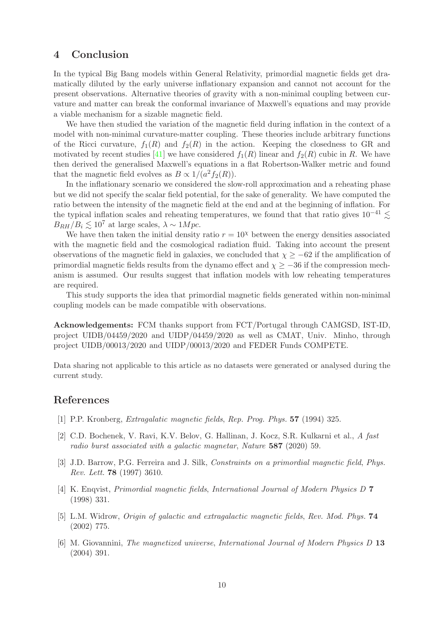# <span id="page-9-6"></span>4 Conclusion

In the typical Big Bang models within General Relativity, primordial magnetic fields get dramatically diluted by the early universe inflationary expansion and cannot not account for the present observations. Alternative theories of gravity with a non-minimal coupling between curvature and matter can break the conformal invariance of Maxwell's equations and may provide a viable mechanism for a sizable magnetic field.

We have then studied the variation of the magnetic field during inflation in the context of a model with non-minimal curvature-matter coupling. These theories include arbitrary functions of the Ricci curvature,  $f_1(R)$  and  $f_2(R)$  in the action. Keeping the closedness to GR and motivated by recent studies [\[41\]](#page-11-16) we have considered  $f_1(R)$  linear and  $f_2(R)$  cubic in R. We have then derived the generalised Maxwell's equations in a flat Robertson-Walker metric and found that the magnetic field evolves as  $B \propto 1/(a^2 f_2(R))$ .

In the inflationary scenario we considered the slow-roll approximation and a reheating phase but we did not specify the scalar field potential, for the sake of generality. We have computed the ratio between the intensity of the magnetic field at the end and at the beginning of inflation. For the typical inflation scales and reheating temperatures, we found that that ratio gives  $10^{-41} \lesssim$  $B_{BH}/B_i \leq 10^7$  at large scales,  $\lambda \sim 1 Mpc$ .

We have then taken the initial density ratio  $r = 10^{\chi}$  between the energy densities associated with the magnetic field and the cosmological radiation fluid. Taking into account the present observations of the magnetic field in galaxies, we concluded that  $\chi \ge -62$  if the amplification of primordial magnetic fields results from the dynamo effect and  $\chi \geq -36$  if the compression mechanism is assumed. Our results suggest that inflation models with low reheating temperatures are required.

This study supports the idea that primordial magnetic fields generated within non-minimal coupling models can be made compatible with observations.

Acknowledgements: FCM thanks support from FCT/Portugal through CAMGSD, IST-ID, project UIDB/04459/2020 and UIDP/04459/2020 as well as CMAT, Univ. Minho, through project UIDB/00013/2020 and UIDP/00013/2020 and FEDER Funds COMPETE.

Data sharing not applicable to this article as no datasets were generated or analysed during the current study.

### <span id="page-9-0"></span>References

- <span id="page-9-1"></span>[1] P.P. Kronberg, Extragalatic magnetic fields, Rep. Prog. Phys. 57 (1994) 325.
- [2] C.D. Bochenek, V. Ravi, K.V. Belov, G. Hallinan, J. Kocz, S.R. Kulkarni et al., A fast radio burst associated with a galactic magnetar, Nature 587 (2020) 59.
- <span id="page-9-2"></span>[3] J.D. Barrow, P.G. Ferreira and J. Silk, Constraints on a primordial magnetic field, Phys. Rev. Lett. 78 (1997) 3610.
- <span id="page-9-3"></span>[4] K. Enqvist, Primordial magnetic fields, International Journal of Modern Physics D 7 (1998) 331.
- <span id="page-9-4"></span>[5] L.M. Widrow, Origin of galactic and extragalactic magnetic fields, Rev. Mod. Phys. 74 (2002) 775.
- <span id="page-9-5"></span>[6] M. Giovannini, The magnetized universe, International Journal of Modern Physics D 13 (2004) 391.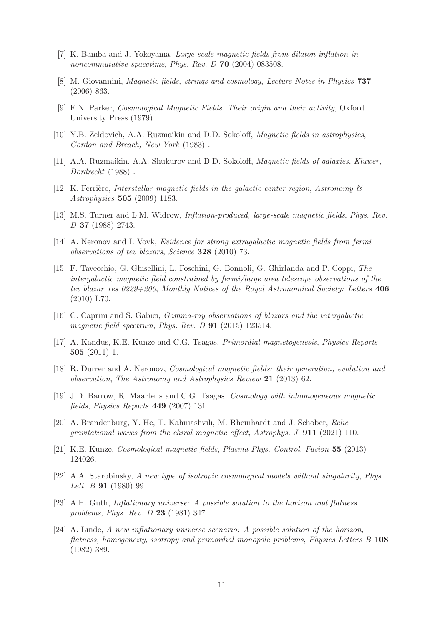- <span id="page-10-1"></span><span id="page-10-0"></span>[7] K. Bamba and J. Yokoyama, Large-scale magnetic fields from dilaton inflation in noncommutative spacetime, Phys. Rev. D 70 (2004) 083508.
- <span id="page-10-2"></span>[8] M. Giovannini, Magnetic fields, strings and cosmology, Lecture Notes in Physics 737 (2006) 863.
- <span id="page-10-3"></span>[9] E.N. Parker, Cosmological Magnetic Fields. Their origin and their activity, Oxford University Press (1979).
- <span id="page-10-4"></span>[10] Y.B. Zeldovich, A.A. Ruzmaikin and D.D. Sokoloff, Magnetic fields in astrophysics, Gordon and Breach, New York (1983) .
- <span id="page-10-5"></span>[11] A.A. Ruzmaikin, A.A. Shukurov and D.D. Sokoloff, Magnetic fields of galaxies, Kluwer, Dordrecht (1988) .
- <span id="page-10-6"></span>[12] K. Ferrière, Interstellar magnetic fields in the galactic center region, Astronomy  $\mathscr B$ Astrophysics 505 (2009) 1183.
- <span id="page-10-7"></span>[13] M.S. Turner and L.M. Widrow, Inflation-produced, large-scale magnetic fields, Phys. Rev. D 37 (1988) 2743.
- <span id="page-10-8"></span>[14] A. Neronov and I. Vovk, Evidence for strong extragalactic magnetic fields from fermi observations of tev blazars, Science 328 (2010) 73.
- [15] F. Tavecchio, G. Ghisellini, L. Foschini, G. Bonnoli, G. Ghirlanda and P. Coppi, The intergalactic magnetic field constrained by fermi/large area telescope observations of the tev blazar 1es 0229+200, Monthly Notices of the Royal Astronomical Society: Letters 406 (2010) L70.
- <span id="page-10-10"></span><span id="page-10-9"></span>[16] C. Caprini and S. Gabici, Gamma-ray observations of blazars and the intergalactic magnetic field spectrum, Phys. Rev. D **91** (2015) 123514.
- <span id="page-10-11"></span>[17] A. Kandus, K.E. Kunze and C.G. Tsagas, Primordial magnetogenesis, Physics Reports 505 (2011) 1.
- [18] R. Durrer and A. Neronov, *Cosmological magnetic fields: their generation, evolution and* observation, The Astronomy and Astrophysics Review 21 (2013) 62.
- <span id="page-10-12"></span>[19] J.D. Barrow, R. Maartens and C.G. Tsagas, *Cosmology with inhomogeneous magnetic* fields, Physics Reports 449 (2007) 131.
- <span id="page-10-13"></span>[20] A. Brandenburg, Y. He, T. Kahniashvili, M. Rheinhardt and J. Schober, Relic gravitational waves from the chiral magnetic effect, Astrophys. J. 911 (2021) 110.
- <span id="page-10-15"></span><span id="page-10-14"></span>[21] K.E. Kunze, Cosmological magnetic fields, Plasma Phys. Control. Fusion 55 (2013) 124026.
- [22] A.A. Starobinsky, A new type of isotropic cosmological models without singularity, Phys. Lett. B **91** (1980) 99.
- <span id="page-10-16"></span>[23] A.H. Guth, Inflationary universe: A possible solution to the horizon and flatness problems, Phys. Rev. D 23 (1981) 347.
- <span id="page-10-17"></span>[24] A. Linde, A new inflationary universe scenario: A possible solution of the horizon, flatness, homogeneity, isotropy and primordial monopole problems, Physics Letters B 108 (1982) 389.